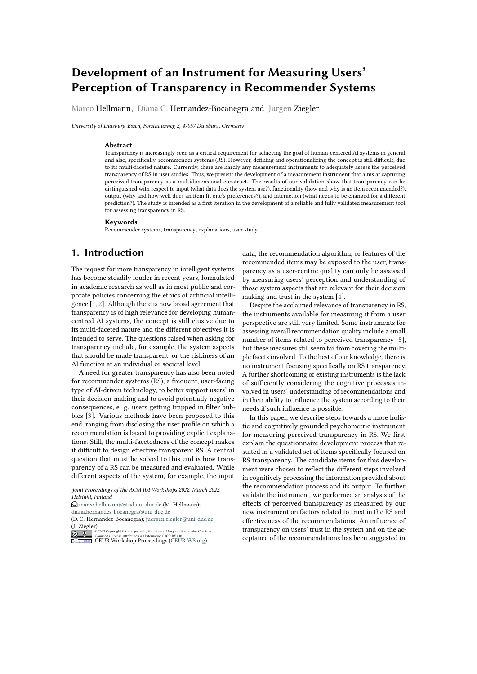# **Development of an Instrument for Measuring Users' Perception of Transparency in Recommender Systems**

Marco Hellmann, Diana C. Hernandez-Bocanegra and Jürgen Ziegler

*University of Duisburg-Essen, Forsthausweg 2, 47057 Duisburg, Germany*

#### **Abstract**

Transparency is increasingly seen as a critical requirement for achieving the goal of human-centered AI systems in general and also, specifically, recommender systems (RS). However, defining and operationalizing the concept is still difficult, due to its multi-faceted nature. Currently, there are hardly any measurement instruments to adequately assess the perceived transparency of RS in user studies. Thus, we present the development of a measurement instrument that aims at capturing perceived transparency as a multidimensional construct. The results of our validation show that transparency can be distinguished with respect to input (what data does the system use?), functionality (how and why is an item recommended?), output (why and how well does an item fit one's preferences?), and interaction (what needs to be changed for a different prediction?). The study is intended as a first iteration in the development of a reliable and fully validated measurement tool for assessing transparency in RS.

#### **Keywords**

Recommender systems, transparency, explanations, user study

## **1. Introduction**

The request for more transparency in intelligent systems has become steadily louder in recent years, formulated in academic research as well as in most public and corporate policies concerning the ethics of artificial intelligence  $\overline{[1,2]}$ . Although there is now broad agreement that transparency is of high relevance for developing humancentred AI systems, the concept is still elusive due to its multi-faceted nature and the different objectives it is intended to serve. The questions raised when asking for transparency include, for example, the system aspects that should be made transparent, or the riskiness of an AI function at an individual or societal level.

A need for greater transparency has also been noted for recommender systems (RS), a frequent, user-facing type of AI-driven technology, to better support users' in their decision-making and to avoid potentially negative consequences, e. g. users getting trapped in filter bubbles [3]. Various methods have been proposed to this end, ranging from disclosing the user profile on which a recommendation is based to providing explicit explanations. Still, the multi-facetedness of the concept makes it difficult to design effective transparent RS. A central question that must be solved to this end is how transparency of a RS can be measured and evaluated. While different aspects of the system, for example, the input data, the recommendation algorithm, or features of the recommended items may be exposed to the user, transparency as a user-centric quality can only be assessed by measuring users' perception and understanding of those system aspects that are relevant for their decision making and trust in the system [4].

Despite the acclaimed relevance of transparency in RS, the instruments available for measuring it from a user perspective are still very limited. Some instruments for assessing overall recommendation quality include a small number of items related to perceived transparency [5], but these measures still seem far from covering the multiple facets involved. To the best of our knowledge, there is no instrument focusing specifically on RS transparency. A further shortcoming of existing instruments is the lack of sufficiently considering the cognitive processes involved in users' understanding of recommendations and in their ability to influence the system according to their needs if such influence is possible.

In this paper, we describe steps towards a more holistic and cognitively grounded psychometric instrument for measuring perceived transparency in RS. We first explain the questionnaire development process that resulted in a validated set of items specifically focused on RS transparency. The candidate items for this development were chosen to reflect the different steps involved in cognitively processing the information provided about the recommendation process and its output. To further validate the instrument, we performed an analysis of the effects of perceived transparency as measured by our new instrument on factors related to trust in the RS and effectiveness of the recommendations. An influence of transparency on users' trust in the system and on the acceptance of the recommendations has been suggested in

*Joint Proceedings of the ACM IUI Workshops 2022, March 2022, Helsinki, Finland*

 $\bigcirc$  [marco.hellmann@stud.uni-due.de](mailto:marco.hellmann@stud.uni-due.de) (M. Hellmann);

[diana.hernandez-bocanegra@uni-due.de](mailto:diana.hernandez-bocanegra@uni-due.de)

<sup>(</sup>D. C. Hernandez-Bocanegra); [juergen.ziegler@uni-due.de](mailto:juergen.ziegler@uni-due.de) (J. Ziegler)

**EDURY SECURY SECURY SECURY SECURY SECURY SECURY SECURY SECURY SECURY SECURY SECURY SECURY SECURY SECURY SECURY SECURY SECURY SECURY SECURY SECURY SECURY SECURY SECURY SECURY SECURY SECURY SECURY SECURY SECURY SECURY SECUR**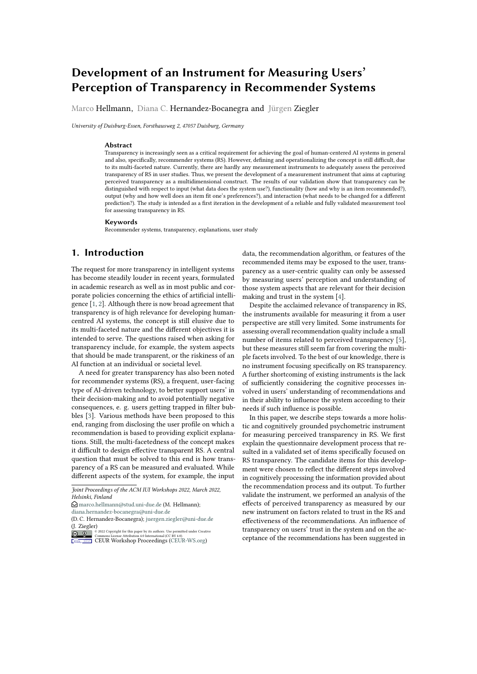prior research, e. g., in [5]. We analyzed these influences through structural equation modeling to show that the construct 'transparency' as measured by our instrument has in fact the assumed effects.

Our contribution is thus twofold: we provide a systematically derived and validated measurement instrument for transparency in RS, and we can show that the different transparency factors represented in the questionnaire have an impact on the effectiveness of recommendations and trust in the system, albeit to different degrees.

## **2. Related work**

Users' perception of the transparency of a RS may be influenced by several factors. Providing explanations is one important aspect, and some studies have shown that transparency is positively influenced by the quality of the explanations given ([5], [6]) and that it is related to control over the system [7]. The effect of systematically varied levels and styles of explanation on perceived transparency has been studied and assessed via questionnaires (see e.g. [8], [9], [10]). Also, a positive influence of interaction possibilities as well as perceived control on the perceived transparency of the system was reported by [5]. Transparency perception seems to be enhanced both by the perceived quality of explanations and the perceived accuracy or quality of recommendations. In addition, the authors show a positive effect of transparency on trust and through trust an indirect effect on purchase intentions. According to [11], this can be related to evaluating the effectiveness of the RS. Moreover, studies suggest that perceived transparency promotes satisfaction with the system [12] [7].

The influence of personal factors on the perception of recommender systems has often been investigated in the light of the general decision-making behavior of users (see [13]). [9] showed that individuals with a rational decision-making style trusted the recommender system tested more and rated its efficiency and effectiveness higher. Furthermore, they showed that individuals with an intuitive decision-making style rate the quality of explanations better.

To date, however, few measurement tools exist to quantitatively assess the transparency of a RS as perceived by users. [6] surveyed perceived transparency using two items ("I understand why the system recommended the artworks it did"; "I understand what the system bases its recommendations on"), in the domain of art objects. [14] use a single item ("I did not understand why the items were recommended to me (reverse scale)"), for event recommendations. [8] proposed an item that explicitly refers to explanations: "Which explanation interfaces are considered to be transparent by the users?". [5] proposed an evaluation framework for RS, involving different domains an applications, and formulate the measurement of the construct transparency using only a single item ("I understood why the items were recommended to me"), this latter being a frequently used item for the evaluation of RS transparency.

Consequently, we set out to formulate and validate a more comprehensive way to measure the perceived transparency of a RS, as described in the methods section. The procedure followed the typical procedure for developing psychometric measurement instruments (e.g. [15]):

**(1)** To operationalize a target construct, first a larger number of candidate items is formulated and compiled. Here, we draw on the basic structure of RS ([16], [17]) and typical user questions related to artificial intelligence algorithms [18]. Second, items were also derived from a qualitative preliminary study, to further analyze the uncertainties in users' mental models, which can be understood as the notion that users have about how a system or a certain type of systems work [19].

**(2)** We examined the factor structure of the transparency construct, which was formed as a reflective factor in the sense of classical test theory (see also [20]). We considered 4 factors that could group individual questionnaire items, and that might contribute to variances in perceived transparency, inspired on dimensions defined by [18]: Input ("what kind of data does the system learn from"), output ("what kind of output does the system give"), functionality ("how / why does the system make predictions") and interaction (what if / how to be that, "what would the system predict if this instance changes  $to.$ ")

**(3)** The developed measurement instrument was validated. For this purpose, the framework model of [7] was used.

#### **2.0.1. Mental models and stages of cognitive processing**

Transparency is frequently discussed like an objective property of a system. A system becomes only transparent, however, if its users can understand the transparencyrelated information, such as explicit explanations, and evaluate it with respect to their goals. The degree of comprehension may depend on the mental model users have about how the system works [21], either based on preconceptions, previous experiences with similar systems, or on the interaction with and perception of the present system [22]. As discussed in [19], mental models that drift considerably from actual system functioning may result in broadening the "gulfs" described by [22]: 1) the gulf of execution, when the user's mental model is inaccurate in terms of how the system can be used to execute a task, 2) the gulf of evaluation, when the output (as consequence of a user's action) differs from what is expected, according to the user's mental model.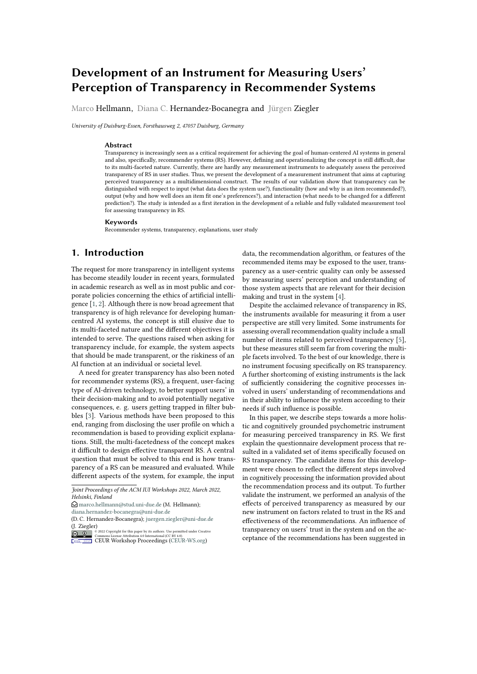To bridge these gulfs, users must process the information provided by the system at different cognitive levels. The items of the proposed questionnaire were formulated to reflect the action levels according to [\[23\]](#page-9-0). According to their model, the quality of interaction with the system can be described through a cycle of evaluation and execution. For example, at first, the user may *perceive* the output of the system (e.g., the recommendations and explanations), then *interpret* the information gathered (e.g., how the system works), and thereby *evaluate* the state of the system (e.g., performance of the system and quality of the output). As a consequence, the user formulates goals aiming to achieve with the system or matches their goals with the evaluation of the system (e.g., get more accurate or diverse recommendations). The user then pursues an intention (e.g., improve recommendations), which is translated into planning actions (e.g., change input), which they finally execute. While this cognitive cycle is well-known in the HCI field, it has hardly been applied in the investigation of transparency for AI-based systems.

The authors in [\[23\]](#page-9-0) assume that there are gaps between the users' goals and their knowledge about the system, and the extent to which system provides descriptions about its functioning (gulfs of execution and of evaluation, as mentioned beforehand). By taking actions to bridge those gaps, (making system functions to match goals, and making the output represent a "good conceptual model of the system that is easily perceived, interpreted and evaluated" [\[23\]](#page-9-0)), system designers may contribute to minimize cognitive effort by users [\[23\]](#page-9-0), and to decrease the discrepancy between the mental model of the system and its functioning, which may have an impact on the perception of transparency, as discussed by [19]. We argue then, that a more comprehensive instrument to measure perceived transparency is still needed, so that such impact can be evaluated not only on the basis of general perceived understanding ("I understood why recommended"), but also on the basis of the extent to which output and functionalities that reflect the conceptual model of the system are perceived, interpreted and evaluated by users.

## **3. Methods**

To operationalize the construct of perceived transparency, we conducted the following steps, based on the typical procedure for developing measurement instruments (e.g., [15]): 1. Formulation and compilation of questionnaire items. 2. Examination of items quality and factor structure, based on an online study. 3. Validation of the measurement instrument. We describe each step below.

## **3.1. Formulation and compilation of questionnaire items**

Here, we draw on the basic structure of RS ([16], [17]) and typical user questions to AI algorithms [18]. Candidate items were also chosen to cover different stages of the cognitive action cycle described in related work. Second, items were also derived from a qualitative pre-study, consisting of interviews with users to further analyze the uncertainties in users' mental models [19], in regard to different commercial RS, like Netflix, Spotify or Amazon.

A total of 6 interviews were conducted via video call, with voluntary participants. When selecting the interview partners, care was taken to represent in the sample different age groups and experience with Internet applications. Students and non-students from different age groups (20 to 50 years) were interviewed. Overall, previous exposure to recommender systems was equally strong among all participants. Only one interviewee had lower experience and one interviewee had slightly higher experience.

The aim of the interviews was to capture the experience, perception and evaluation as well as possible questions of users regarding the functionality or transparency of recommender systems. The subjects were asked to explain the functionality of RS from their perspective and to create a corresponding sketch. Following this, uncertainties and possible lack of transparency were discussed. Finally, prototypical explanations from [\[24\]](#page-9-1) for increasing the perceived transparency were evaluated by the interview partners. The explanations refer differently to the input used, the functionality and the output. In addition, they use different visual forms of representation, e.g. star ratings, profile lines, text. In this way, uncertainties as well as wishes for more transparency by users could be identified. Each question encountered in interviews was directly transformed into one or more items.

A resulting set of 92 items was collected and discussed by the research team, where linguistic revision and elimination of redundancies were also performed. The discussions led to a reduction of the set to 34 items, which were used as input for the online validation described in the next section.

#### **3.2. Online user study**

We conducted a user study to examine item quality and factor structure, as described below.

**Participants** We recruited 171 participants (89 female, mean age 29 and range between 18 and 69) through the crowdsourcing platform Prolific. We restricted the task to workers in the U.S and the U.K., with an approval rate greater than 98%. Participants were rewarded with £1.15.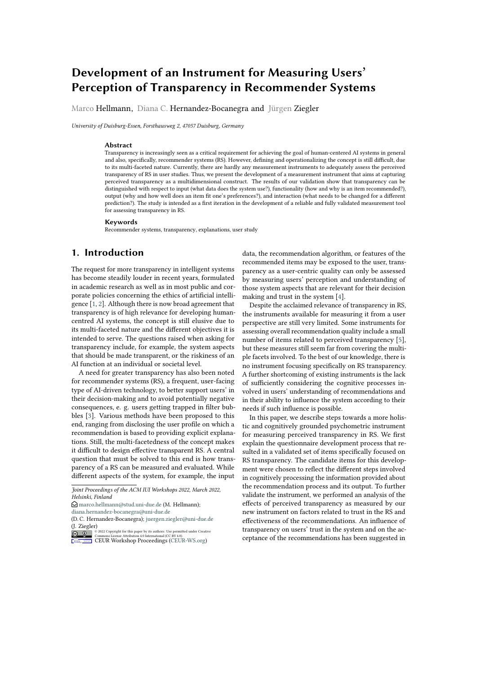Time devoted to the survey (in minutes): M=13.2, SDData analysis We performed an exploratory factor 7.33. analysis (EFA) to further reduce the initial set of items

We applied a quality check to select participants with and a Conrmatory Factor Analysis (CFA) to test internal quality survey responses (we included attention checkseliability and convergent validity. Furthermore, we evalin the survey, e.g. This is an attention check. Please clickated discriminant validity of the resultant set of items, in here the option `Disagree'. We discarded participantselation to other constructs of the subjective evaluation with at least 1 failed attention check, or those who didof RS, for example explanation quality, e ectiveness and not nish the survey. Thus, the responses of 17 of the verall satisfaction, according to the frameworks de ned 192 initial Proli c respondents were discarded and noby [7] and [5].

paid. 4 additional cases were removed due to suspicious

response behavior, e.g. responding all questions with the response benavior, e.g. responding an questions with the Results<br>same value within the same page. Thus, 171 cases were Results used for further analysis.

The target sample size was chosen to allow performing 4.1. Exploratory Factor Analysis (EFA) CFA analysis. 25, p. 389, recommend a minimum of The factor structure was exploratively examined, aiming n> 50 or three times the number of indicators24, p. to further reduce the set of items. A total of 5 EFAs with 102, recommend a minimum ot n100 or ve times the principal axis factor analysis and promax rotation were number of indicators. Thus, given that we wanted to erformed. First, items that did not have a unique princievaluate a set of 34 items, the sample size was set to al loading or had a principal loading that was too low minimum of 170 participants. (< .40) were removed. In the rst 4 EFAs, 11 items were

removed based on this criterion. Subsequently, more

Questionnaires We utilized the set of 34 items result-stringent criteria were used (factor loadings.50). The ing of the formulation of items step described aboveguideline values are based [on \[](#page-9-8). Thus, 2 items were Additionally, aiming to further validate the nal mea- removed again. Subsequently, a 6-factorial structure resurement instrument  $(4.3)$ , we used items from  $\boldsymbol{\delta}$  is sulted, with a total of 21 items and a variance resolution evaluate perception of control (how much they think of 62.45%. Reliability of the factors fall in the range `good' they can in uence the system), interaction adequacy ando `very good' (.782 to .888), as de ned [by](#page-9-9) [. The ininterface adequacy, information su ciency and recom-ternal consistency across all items is .867. mendation accuracy. Furthermore we included items

from [7] to evaluate the perception of system e ective-4.2. Confirmatory Factor Analysis (CFA) ness (constructerceived system e ectiveness stem is useful and helps the user to make better choices), arrobllowing the exploration of the factor structure, the of trust in the system  $\mathbb{P}7$  (constructstrusting beliefs result obtained was tested for internal reliability and consubconstructs benevolence, integrity, and competence ergent validity using con rmatory analysis. A rst CFA

user considers the system to be honest and trusts its rewas performed, resulting in 8 items with low factor loadommendations; andrusting intentionsuser willing to ings, which were eliminated from the set. Two factors share information and to follow advice). We used itemsvere removed in the process because they did not load on described from 28, 29 for explanation quality, and from a second-level overall transparency factor. A nal CFA [[30\]](#page-9-7) to evaluate decision-making style. All items werewith 4 factors was performed (model  $\frac{1}{10}$   $\frac{1}{100}$   $\frac{1}{100}$   $\frac{1}{100}$   $\frac{1}{100}$   $\frac{1}{100}$   $\frac{1}{100}$   $\frac{1}{100}$   $\frac{1}{100}$   $\frac{1}{100}$   $\frac{1}{100}$  measured with a 1-5 Likert-scale (1: Strongly disagree,  $61$ , p = .016;  $\sqrt[2]{}$ df = 1.426; CFI = .975; TLI = .968; RMSEA Strongly agree).  $= .050$ ; SRMR  $= .047$ ). Reliability across all items is equal

to .884. This model comprises a nal set of four factors

Procedure Participants were asked to choose a servicend 13 items, which are reported in Table 1 along with from ve applications, for which they were required to factor loadings.

have an active account: Amazon, Spotify, Net ix, Tripad- The four factors identi ed can be associated with the visor, and Booking. Participants were instructed to oper concepts nput, composed of 3 item Qutput, also with the application, browse it at their own discretion. They<sup>3</sup> items,Functionalitywith 5 items, and nteractionwith were explicitly told to select an item that was relevant<sup>only</sup> 2 items. Although the initial item set comprised to them and which they would actually buy or consume. questions for all stages of the cognitive action cycle, af-A real purchasing of items was explicitly not requesteder CFA, items related the perception level were only Participants were asked to return to the survey after comeft for the factor Functionality comprising questions pleting the task and to answer questions about the systembout whether users are aware of transparency-related they used. information if provided by the system (e.g.: "The system

provided information about how well the recommendations match my preferences"). This factor covers mostly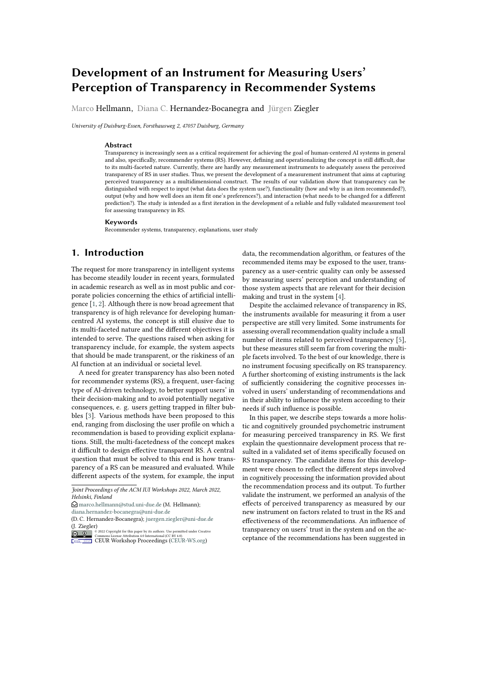Table 1

| Test results of internal reliability and convergent validity of our proposed transparency questionnaire. |  |  |
|----------------------------------------------------------------------------------------------------------|--|--|
|                                                                                                          |  |  |

|               |                                                                                          | Cronbach | Factor  |
|---------------|------------------------------------------------------------------------------------------|----------|---------|
| Factor        | <b>Items</b>                                                                             | alpha    | loading |
|               | It was clear to me what kind of data the system uses to generate recommendations.        |          | 0.817   |
| Input         | understood what data was used by the system to infer my preferences.                     | 0.842    | 0.901   |
|               | understood which item characteristics were considered to generate recommendations.       |          | 0.712   |
|               | understood why the items were recommended to me.                                         |          | 0.771   |
| Output        | understood why the system determined that the recommended items would suit me.           | 0.801    | 0.794   |
|               | I can tell how well the recommendations match my preferences.                            |          | 0.710   |
|               | The system provided information to understand why the items were recommended.            |          | 0.731   |
|               | The system provided information about how the quality of the items was determined.       |          | 0.705   |
| Functionality | The system provided information about how my preferences were inferred.                  |          | 0.736   |
|               | The system provided information about how well the recommendations match my preferences. |          | 0.696   |
|               | understood how the quality of the items was determined by the system.                    |          | 0.760   |
| Interaction   | I know what actions to perform in the system so that it generates better recommendations | 0.888    | 0.896   |
|               | I know what needs to be changed in order to get better recommendations                   |          | 0.892   |

perception-related questions. The missing coverage bect of higher overall transparency on the perception of perception-related items in other factors is likely duethe recommendations and the overall system. Furtherto limitations of the systems used for the online study more, we assumed that transparency is inuenced by which do not, for example, provide access to the dataystem-related aspects (accuracy, interaction quality, and on which recommendations are based, thus preventing xplanation quality) as well as by personal characteristics users to become aware of input data . The factourtout such as decision-making behavior) as described in the comprises items related to the interpretation and evaluaelated work section. Some of these factors can also be tion stages. The factdinteractionhas the smallest scope expected to in uence perceived control over the system, with 2 items and covers only the facets of action planning construct that may mediate the impact of these factors or action execution. This factor thus describes whetheon transparency perception. This led us to formulating users know which actions they would have to perform if the hypotheses shown in table 3. they wanted to receive other recommendations.

## 4.3. Discriminant validity of measurement instrument

In the following, the relationships of the factors in the structural equation model are presented (see g. 1). Only signi cant paths with standardized path coe cients are shown. Indirect e ects are only considered for the transparency factors relevant here. The nal model is

We determined discriminant validity of the instrument in shown to have a very good t:  $\hat{x}$  = 75.767, df = 57, p = relation to other constructs of the subjective evaluation 049;  $\lambda/df = 1.329$ ; CFI = .980; TLI = .965; RMSEA = .044; of RS, for example explanation quality, e ectiveness an $\frac{3}{8}$ RMR = .072. The model is thus adequate to describe the overall satisfaction, according to the frameworks de ned elationships in the data set.

by [7] and [5]. Discriminant validity was assessed using In uences on perceived transparency of the sysinter-construct correlations (see results in table 2). Weem. Transparency with respect to interaction is rated found that the squared correlations between pairs of corhigher when users are more likely to exhibit an intuitive structs were all less than the value of average variancebecision-making style (0.186, p <.05) and users report that are shown in the diagonal, representing a level onigher perceived control (0.293, p <.001). The latter is appropriate discriminant validity [5]. increased by the quality of interaction (0.502, p <.001) and

# 5. Structural Equation Model (SEM)

explanations (0.341, p <.001). Users thus know better how to in uence recommendations when they have more opportunities to interact with the system, and can gather information about the system through explanations as well as through 'trial and error' (indirect: explanation quality

To explore the relation between the transparency factors control Transparency-interaction: 0.100, p < .01; inassessed by the questionnaire and the e ects of perceivedraction quality control Transparency-interaction: transparency on recommendation e ectiveness and trus  $0.147$ , p <  $.001$ ).

in the system, as well as the impact of factors in uenc- Similar observations can be made for functionality. ing transparency, we set up a Structural Equation ModeAgain, transparency is rated higher when users are more (SEM). The model is based on hypotheses we deriv**ëke**ly to exhibit an intuitive decision-making style (0.141, from existing research that has shown the positive ef  $<$ .05) and users report higher perceived control (0.261,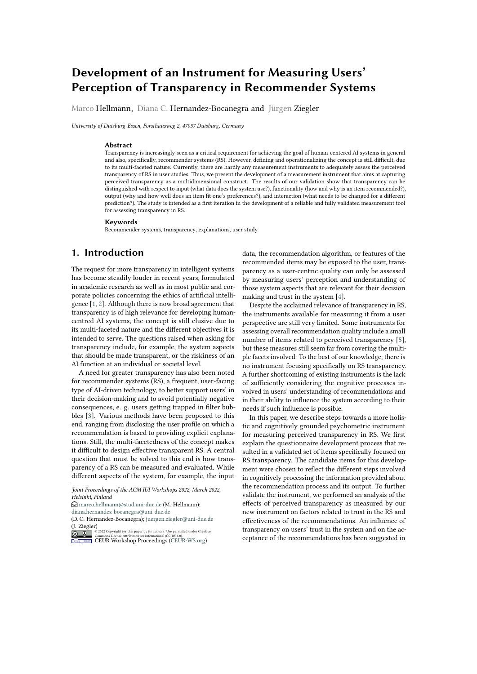### Table 2

Inter-construct correlation matrix. Average Variance Extracted (AVE) on the main diagonal; correlations below the diagonal; quadratic correlations above the diagonal. Target value for AVE.  $\mu$  0.05\*,  $\mu$  0.01\*\*.

|                          |           | $\overline{ }$ | 3            |              |            | 6              |           | 8         | $\overline{9}$ | 10        |            |           | 12    | 13        | 14        |                   | 15    | 16         | 17            | 18                    | 19        |       |
|--------------------------|-----------|----------------|--------------|--------------|------------|----------------|-----------|-----------|----------------|-----------|------------|-----------|-------|-----------|-----------|-------------------|-------|------------|---------------|-----------------------|-----------|-------|
| Transp. - input          | 0.662     | 0.227          | 0.235        | 0.136        | 0.111      | 0.023          | 0.009     | 0.125     | 0.053          |           | 0.051      | 0.075     |       | 0.040     | 0.065     | 0.063             |       | 0.159      | 0.002         | 0.026                 | 0.081     | 0.021 |
| 2 Transp. - output       | $0.476**$ | 0.577          | 0.231        | 0.121        | 0.157      | 0.039          | 0.019     | 0.146     | 0.187          |           | 0.054      | 0.094     | 0.291 |           | 0.071     | 0.041             | 0.239 |            | 0.001         | 0.186                 | 0.240     | 0.074 |
| 3 Transp. - function     | $0.485**$ | 0.481          | 0.527        | 0.155        | 0.246      | 0.021          | 0.061     | 0.341     | 0.153          |           | 0.022      | 0.114     | 0.094 |           | 0.147     | 0.153             | 0.183 |            | 0.021         | 0.127                 | 0.168     | 0.094 |
| 4 Transp. - interaction  | $0.369**$ | $0.348**$      | 0.394**0.799 |              | 0.119      | 0.000          | 0.055     | 0.048     | 0.072          | 0.000     |            | 0.056     | 0.030 |           | 0.060     | 0.106             | 0.070 |            | 0.008         | 0.064                 | 0.035     | 0.038 |
| 5 Control                | $0.333**$ | $0.396**$      | $0.496**$    | 0.345**0.775 | 0.004      |                | 0.018     | 0.242     | 0.366          | 0.052     |            | 0.154     | 0.090 |           | 0.153     | 0.198             | 0.156 |            | 0.007         | 0.144                 | 0.141     | 0.118 |
| 6 DM style - rational    | $0.153*$  | $0.197*$       | 0.146        | 0.016        | 0.0610.454 |                | 0.041     | 0.062     | 0.004          | 0.073     | 0.018      |           | 0.032 | 0.017     |           | 0.017             | 0.026 | 0.004      |               | 0.036                 | 0.058     | 0.030 |
| 7 DM style - intuitive   | 0.092     | 0.138          | $0.246**$    | $0.234**$    | 0.136      | $-0.2030$ :502 |           | 0.022     | 0.027          | 0.000     | 0.000      |           | 0.019 | 0.006     | 0.011     |                   | 0.012 | 0.012      |               | 0.001                 | 0.001     | 0.005 |
| 8 Explanation quality    | $0.353**$ | $0.382**$      | $0.584**$    | $0.220**$    | $0.492**$  | $0.248**$      | 0.1408557 |           | 0.091          | 0.080     | 0.265      |           | 0.151 | 0.112     | 0.100     |                   | 0.230 | 0.030      | 0.199         |                       | 0.177     | 0.171 |
| 9 Interaction adequacy   | $0.230**$ | $0.432**$      | $0.391*$     | $0.269**$    | $0.605*$   | 0.064          | $0.163*$  | 0.30.791  |                | 0.082     | 0.065      | 0.048     |       | 0.116     | 0.151     | 0.101             |       | 0.020      | 0.147         |                       | 0.118     | 0.084 |
| 10 Interface adequacy    | $0.226*$  | $0.232**$      | 0.147        | 0.008        | $0.228**$  | $0.270**$      | $-0.001$  | $0.282**$ |                | 0.2868    | 0.123      | 0.054     |       | 0.052     | 0.043     | 0.207             |       | 0.020      | 0.108         | 0.130                 |           | 0.187 |
| 11 Info. su iciency      | $0.273**$ | $0.307*$       | $0.337**$    | $0.236**$    | $0.393**$  | 0.133          | $-0.001$  | $0.515**$ | $0.254**$      |           | $0.350**$  | 0.104     |       | 0.064     | 0.063     | 0.182             |       | 0.048      | 0.216         | 0.188                 |           | 0.170 |
| 12 Recomm. accuracy      | 0.201'    | $0.539**$      | $0.307**$    | 0.174'       | $0.300**$  | $0.180*$       | 0.137     | $0.389**$ |                | $0.220**$ | $0.232**$  | $0.323**$ |       | 0.086     | 0.062     | 0.259             |       | 0.021      | 0.187         | 0.326                 | 0.221     |       |
| 13 Trust - benevolence   | $0.254**$ | $0.266**$      | $0.384**$    | $0.245**$    | 0.391      | 0.130          | 0.079     | $0.334**$ |                | $0.341**$ | $0.228**$  | $0.252**$ |       | 0062663   | 0.661     | 0.366             |       | 0.095      | 0.162         | 0.332                 | 0.282     |       |
| 14 Trust - integrity     | $0.250**$ | $0.202**$      | $0.391**$    | $0.326**$    | $0.445**$  | 0.129          | 0.106     | $0.316**$ | $0.388**$      |           | $0.207**$  | $0.251**$ |       | $0.249**$ | $0.876*$  | 0.332             | 0.088 |            | 0.179         | 0.238                 | 0.272     |       |
| 15 Trust - competence    | $0.399**$ | $0.489**$      | $0.428**$    | $0.265**$    | $0.395**$  | $0.162*$       | 0.111     | $0.480**$ |                | $0.318**$ | $0.455***$ | $0.427**$ |       | $0.509**$ | $0.605**$ | $0.000076**0.030$ |       |            | 0.278         | 0.440                 | 0.358     |       |
| 16 Trust - share info.   | 0.040     | 0.028          | 0.146        | 0.091        | 0.086      | 0.060          | 0.109     | $0.174*$  |                | 0.141     | 0.140      | $0.219**$ |       | 0.143     | $0.308**$ | $0,297**$         |       | 0.1740.064 |               | 0.062                 | 0.078     |       |
| 17 Trust - follow advice | $0.160*$  | $0.431*$       | $0.356**$    | $0.253**$    | $0.379**$  | $0.189*$       | 0.028     | $0.446**$ |                | $0.384**$ | $0.328**$  | $0.465**$ |       | $0.433**$ | $0.402**$ | $0.423**$         |       | $0.527**$  | $0.252*0.213$ |                       | 0.269     |       |
| 18 E ectiveness          | $0.284**$ | $0.490**$      | $0.410**$    | $0.187*$     | $0.375*$   | $0.241*$       | 0.036     | $0.421**$ |                | $0.344**$ | $0.360**$  | $0.434**$ |       | $0.571**$ | $0.576**$ | $0.488**$         |       | $0.663**$  |               | 0.249**0.545461*0.389 |           |       |
| 19 Overall satisfaction  | 0.145     | $0.272*$       | $0.306*$     | $0.194*$     | $0.343*$   | $0.174*$       | 0.069     | $0.414**$ |                | $0.289**$ | $0.432**$  | $0.412**$ |       | $0.470**$ | $0.531**$ | $0.522**$         |       | $0.598**$  | $0.280**$     | $0.519**$             | $0.624**$ |       |

| Table 3                                 |
|-----------------------------------------|
| Overview of hypothesis addressed in SEM |

| Hypotheses | Relevant factor<br>Reference |                                                                    | Explanation                                                                               |  |  |  |  |  |
|------------|------------------------------|--------------------------------------------------------------------|-------------------------------------------------------------------------------------------|--|--|--|--|--|
|            |                              | Factors influencing perceived transparency perceived transparency) |                                                                                           |  |  |  |  |  |
| $H-1.1$    | $[6]$ , $[5]$                | <b>Explanation quality</b>                                         | Comprehensibility and contribution of the explanations to the understanding of the system |  |  |  |  |  |
| $H-1.2$    | [5]                          | Accuracy                                                           | Match between the items and the user's preferences                                        |  |  |  |  |  |
| $H-1.3$    | [5] (indirect e ect)         | Interaction quality                                                | Possibilities of adaptation and feedback                                                  |  |  |  |  |  |
| $H-1.4$    | [5]                          | Control                                                            | Possibilities of personalization                                                          |  |  |  |  |  |
| $H-1.5$    | [10]                         | decision-making styles                                             | Rational / Intuitive                                                                      |  |  |  |  |  |
|            |                              | E ects of perceived transparency (perceived transparency           |                                                                                           |  |  |  |  |  |
| $H-2.1$    | $[3]$ , $[14]$               | Trust                                                              | Trusting beliefs and intentions                                                           |  |  |  |  |  |
| $H-2.2$    | [11]                         | E ectiveness                                                       | Usefulness of the system                                                                  |  |  |  |  |  |
| $H-2.3$    | $[14]$ , $[12]$              | Overall satisfaction                                               | Satisfaction with the system                                                              |  |  |  |  |  |

p <.001). The quality of interaction, promoting perceived001). It both indirectly and directly (0.416, p <.001) incontrol, has a positive e ect on transparency concernereases the transparency of the functionality when users ing how the system works (indirect: interaction qual-rate explanations positive (indirect: explanation quality ity control Transparency-functionality: 0.131, p < control Transparency-functionality: 0.089, p < .01).

Figure 1: Structural model. p< 0.05\*, p< 0.01\*\*, p< 0.001\*\*\*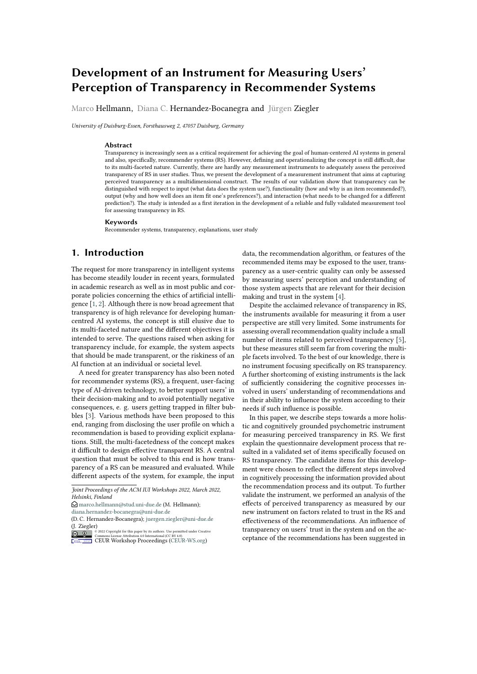The input is perceived as more transparent the bette follow the advice of the recommendation system is inusers can interact with the system. Thus, here again reased (indirect: Transparency-functionality Trustperceived control has a direct positive e ect (0.200, pompetence Trust-follow advice: 0.071, p <.05). Thus, <.01). The quality of the interaction thus repeatedly hast is clear that an understanding of the internal mechaan indirect e ect (indirect: interaction quality control nisms of recommender systems leads to trusting beliefs

Transparency-input:  $0.100$ , p < .05). Similarly to whaand thus to trusting actions and a positive overall evaluhas already been shown with regard to functionality, the ation.

quality of the explanations also has a direct, positive Transparency with regard to the input has a negative e ect on transparency of the input (0.209, p <.01) in adde ect. If users can see which data is used, this has a tion to the indirect e ect (explanation quality control negative e ect on the willingness to follow the advice Transparency-input:  $0.068$ ,  $p < .05$ ). of the recommendation system in this model (-0.144, p

The transparency of the output shows how well users .05). Thus, this shows a certain counterbalance to a can assess why a recommendation is made or shoulidansparent functionality, possibly triggered by too much match the user's preferences. This is directly increased formation or a general distrust regarding data privacy. by the quality of the interaction with the system (0.311, This shows that transparency can also have negative conp <.001), i.e. when possibilities are o ered or used teequences. However, these turn out to be comparatively indicate one's own preferences. On the other hand, thersmall. Transparent output again has strong positive efare no direct or indirect in uences of the explanationsfects. If users can understand why the recommended Instead, the accuracy of the recommendation has a podiem matches their preferences, this increases trust in tive in uence on the transparency of the output (0.454the competence of the system (0.194, p <.01). Indirectly, p <.001). Accordingly, the output is easier to understantransparency also promotes overall satisfaction via this if it is rated as suitable. Unsuitable recommendations crease in trust (indirect: Transparency-output Trustwould thus be more di cult for the user to comprehend. competence overall satisfaction: 0.055, p <.05). Further-

As shown, transparency is positively in uenced by themore, the increase in transparency indirectly (indirect: quality of explanations, accuracy of recommendations, ransparency-output Trust-competence e ectiveness: opportunities for interaction, and perceived control. Hy-0.056, p <.05), but also directly (0.127, p <.05), contributes potheses 1.1, 1.2, 1.3 and 1.4 can thus be considered to a higher rating of the system's e ectiveness. Indirectly, rmed. The in uence of the decision-making style is this in turn increases overall satisfaction with the syslimited to the intuitive style. Therefore, hypothesis 1.5tem (indirect: Transparency-output Trust-competence can only be partially con rmed. e ectiveness overall satisfaction:  $0.019$ ,  $p < .05$ ). Ad-

E ects of perceived transparency of the system. No e ects can be observed for transparency with regardice of the recommendation system when users better to interaction. It is possible that e ects exist on factorsunderstand the output (direct: 0.268, p <.001; indirect: that were not surveyed in this study. For the other trans-Transparency-output Trust-competence Trust-follow parency factors, however, signi cant positive e ects canadvice: 0.073, p <.05). be observed. ditionally, it increases the willingness to follow the ad-As shown, the transparency factors have clear e ects

Transparency regarding the functionality has the strongestrust in the system, evaluation of e ectiveness and on and most diverse e ect. If users can understand the overall satisfaction. Therefore hypotheses 2.1, 2.2 and internal mechanisms, they trust the recommendation 2.3 can be considered con rmed. Thus, perceived transsystem more. Direct positive e ects can be observeparency can also be viewed as a mediator of perceived on benevolence  $(0.248, p < 0.01)$  and trust in the comprentrol over the system, user characteristics, and other tence (0.188, p <.05) of the system. Indirectly, such tranqualities of the system. The importance of the di erent parency thus contributes to a better evaluation of the systactors of perceived transparency can be shown by the tem's e ectiveness (indirect: Transparency-functionalitydi erentiated assessment.

Trust-benevolence e ectiveness: 0.074, p <.01; in-

direct: Transparency-functionality Trust-competence ect. Hansparency-functionality Trust-competence **6.** Discussion

fectiveness, overall satisfaction with the system is also<br>premated (indirect: Transparancy, functionality Trust, We aimed at developing a measurement tool that is specif promoted (indirect: Transparency-functionality Trustpromoted (indirect: Transparency-idirectoriality Trust-<br>benevolence e ectiveness overall satisfaction: 0.024, personiced by upone, In an initial interview study, son p <.05). Via the increase in perceived benevolence, the willingness to share information about oneself is als $\dot{\phi}$ increased (indirect: Transparency-functionality Trustbenevolence Trust-information sharing: 0.072,  $p < 0.05$ Moreover, via trust in competence, the willingness to perceived by users. In an initial interview study, concerns and uncertainties in relation to RS transparency were identi ed, which are well in line with the general AI-related questions compiled by **[3]**. This indicates that the scheme developed by these authors can be a useful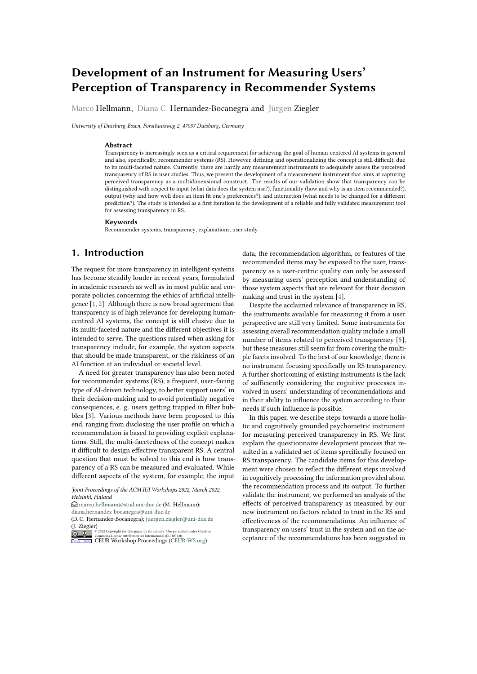starting point for developing measures also for speci csystem state to their own goal to decide about the next systems such as RS, which address a wider range of usaction, a stage de ned by Norman [ asevaluation The beyond more expert users as in the original work by []. item I can tell how well the recommendations match my

Our con rmatory analyses con rmed our hypothesis preferences from our scale relates to this stage, by assessthat subjective perceived transparency can be charaing explicitly the correspondence of the recommended terized by the factorsinput, output, functionality and items with one's own preferences. Items from theterinteraction Adequate reliability as well as convergentactiongroup ("I know what needs to be changed in order and divergent validity was demonstrated, which indicateso get better recommendations") can be associated with that identi ed transparency factors can clearly be considintent formation and the downstream path in the action ered as independent, and they can be distinguished fromycle.

each other and also from other factors of the subjective As discussed by [3], designers can contribute to close evaluation of RS (trust, e ectiveness, etc.). the gap between mental models (users' idea on how the

The identi ed factors in our analysis re ect the basic system works [2]), and the actual system's functioning, components of RS as de ned by吼, i.e., theinput (what by providing output and functionalities re ecting an addata does the system use?), the ectionality (how and why is an item recommended?), and thetput (why and how well does an item match one's own preferences?dan in turn impact perceived transparency . Conse-Additionally, the factor interaction could be extracted quently, our instrument can contribute to a more compre-This factor is consistent with the categorinteraction hensive assessment of subjective perceived transparency, (what if / how to be that, what has to be changed for a by going beyond the one-dimensional construct addressdi erent prediction?) of the prototypical questions to AI, ing a general "why-recommended" understanding, and formulated by [18]. equate system's conceptual model, that can be easily perceived, interpreted and evaluated  $\mathbb{I}$ . The above assessing instead, the extent to which output and func-

Furthermore, the nal set of items can also be considionalities re ecting the system's conceptual model are ered through the lens of the di erent interaction stagesin fact perceived, interpreted and evaluated. as de ned by Norman 22. In our examined context, for

example, the stagperceptionrelates to the presence of example, the stageerceptionielates to the presence of 7. Conclusion and Outlook

how the recommendations were derived, e.g. through now the recommendations were derived, e.g. through he instrument developed can be seen as a rst step explanations. Items of the type The system provided information about how..., grouped under the factor functionality, could be validated, indicating that making information about the recommendation process observable is a prerequisite for further cognitive processing. This indicates that the evaluation of perceived transparency should consider not only items related to users' interpretation (i.e. user understands, as it has traditionally been evaluated in RS research), but also items related<sup>rig</sup> the presence and perception of transparency-related system functions (e.g. user notices that the system actually explains). towards assessing transparency in RS in a more comprehensive and cognitively meaningful manner. Overall, reliability and construct validity of the developed measurement instrument could be con rmed, identifying four transparency factors (input, output, functionality, interaction) and resulting in a 13 item questionnaire (see Table 1). The expected in uence of system aspects and personal characteristics on the transparency factors could be demonstrated for the developed factors with the exception of transparency regarding interaction, which may be due to the limited interaction possibilities in the applica-

plants).<br>Once the user perceives a system output (e.g. the fea- innect of discret transportance cancels as tweeting. tures of a recommendation or an explanation), the next the system is the interpretation of the system state, in which the system and on the overall evaluation of the system. users use their knowledge to interpret the new system ascis asc mem misureage to interpret the new system possible to elaborate the signi cance of individual aspects<br>state [22]: in our context, to assess the recommendation the reservative many datail than it was a social with dict  $\mu_1$ . In our context, to assess the recommendation of transparency in more detail than it was possible with inferred by the system. Our validated nal set includes required as a security result in secula by iffered by the system. Our vandated that set includes previous measurement instruments. Thus, it could be<br>items which are related to the terpretationstage, and shown that transparency with respect to functioning are of the type I understood what data was used ..., shown that transparency with respect to functioning are of the type I understood what data was used ... which can be grouped under the factor put), or I underwhich carries grouped under the lacturiour, or Tunder-<br>stood how the system determined ..., grouped under the tacconting and input Stood now the system determined ..., grouped ander in interaction and input. the impact of di erent transparency aspects on trust in The dierentiated assessment of transparency makes it shown that transparency with respect to functioning and output is of greater importance for the dependent The ndings obtained here should be considered under

items is also consistent with the de nition of perceived transparency by §], which focuses on the perceived understanding of the inner processes of RS.<br>derstanding of the inner processes of RS. Islaming of the liner processes of No.<br>In a subsequent stage, users compare the interpreted the following limitations. Real systems were tested for